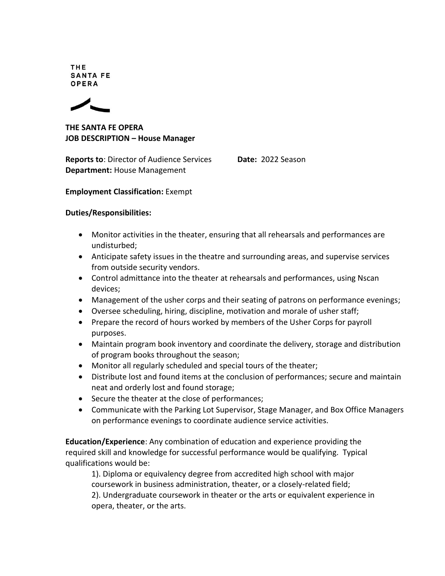**THE SANTA FE** OPERA



**THE SANTA FE OPERA JOB DESCRIPTION – House Manager**

**Reports to**: Director of Audience Services **Date: 2022 Season Department:** House Management

## **Employment Classification:** Exempt

## **Duties/Responsibilities:**

- Monitor activities in the theater, ensuring that all rehearsals and performances are undisturbed;
- Anticipate safety issues in the theatre and surrounding areas, and supervise services from outside security vendors.
- Control admittance into the theater at rehearsals and performances, using Nscan devices;
- Management of the usher corps and their seating of patrons on performance evenings;
- Oversee scheduling, hiring, discipline, motivation and morale of usher staff;
- Prepare the record of hours worked by members of the Usher Corps for payroll purposes.
- Maintain program book inventory and coordinate the delivery, storage and distribution of program books throughout the season;
- Monitor all regularly scheduled and special tours of the theater;
- Distribute lost and found items at the conclusion of performances; secure and maintain neat and orderly lost and found storage;
- Secure the theater at the close of performances;
- Communicate with the Parking Lot Supervisor, Stage Manager, and Box Office Managers on performance evenings to coordinate audience service activities.

**Education/Experience**: Any combination of education and experience providing the required skill and knowledge for successful performance would be qualifying. Typical qualifications would be:

1). Diploma or equivalency degree from accredited high school with major coursework in business administration, theater, or a closely-related field; 2). Undergraduate coursework in theater or the arts or equivalent experience in opera, theater, or the arts.